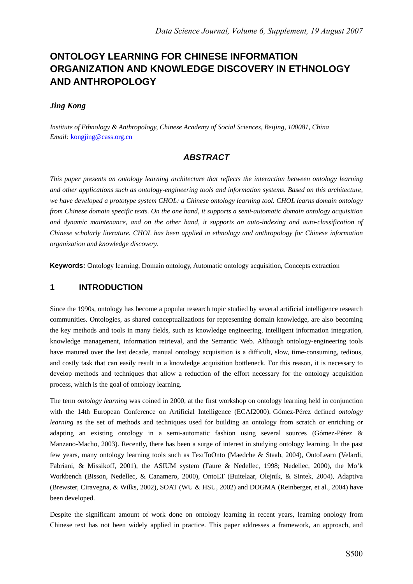# **ONTOLOGY LEARNING FOR CHINESE INFORMATION ORGANIZATION AND KNOWLEDGE DISCOVERY IN ETHNOLOGY AND ANTHROPOLOGY**

### *Jing Kong*

*Institute of Ethnology & Anthropology, Chinese Academy of Social Sciences, Beijing, 100081, China Email:* kongjing@cass.org.cn

## *ABSTRACT*

*This paper presents an ontology learning architecture that reflects the interaction between ontology learning and other applications such as ontology-engineering tools and information systems. Based on this architecture, we have developed a prototype system CHOL: a Chinese ontology learning tool. CHOL learns domain ontology from Chinese domain specific texts. On the one hand, it supports a semi-automatic domain ontology acquisition and dynamic maintenance, and on the other hand, it supports an auto-indexing and auto-classification of Chinese scholarly literature. CHOL has been applied in ethnology and anthropology for Chinese information organization and knowledge discovery.* 

**Keywords:** Ontology learning, Domain ontology, Automatic ontology acquisition, Concepts extraction

## **1 INTRODUCTION**

Since the 1990s, ontology has become a popular research topic studied by several artificial intelligence research communities. Ontologies, as shared conceptualizations for representing domain knowledge, are also becoming the key methods and tools in many fields, such as knowledge engineering, intelligent information integration, knowledge management, information retrieval, and the Semantic Web. Although ontology-engineering tools have matured over the last decade, manual ontology acquisition is a difficult, slow, time-consuming, tedious, and costly task that can easily result in a knowledge acquisition bottleneck. For this reason, it is necessary to develop methods and techniques that allow a reduction of the effort necessary for the ontology acquisition process, which is the goal of ontology learning.

The term *ontology learning* was coined in 2000, at the first workshop on ontology learning held in conjunction with the 14th European Conference on Artificial Intelligence (ECAI2000). Gómez-Pérez defined *ontology learning* as the set of methods and techniques used for building an ontology from scratch or enriching or adapting an existing ontology in a semi-automatic fashion using several sources (Gómez-Pérez & Manzano-Macho, 2003). Recently, there has been a surge of interest in studying ontology learning. In the past few years, many ontology learning tools such as TextToOnto (Maedche & Staab, 2004), OntoLearn (Velardi, Fabriani, & Missikoff, 2001), the ASIUM system (Faure & Nedellec, 1998; Nedellec, 2000), the Mo'k Workbench (Bisson, Nedellec, & Canamero, 2000), OntoLT (Buitelaar, Olejnik, & Sintek, 2004), Adaptiva (Brewster, Ciravegna, & Wilks, 2002), SOAT (WU & HSU, 2002) and DOGMA (Reinberger, et al., 2004) have been developed.

Despite the significant amount of work done on ontology learning in recent years, learning onology from Chinese text has not been widely applied in practice. This paper addresses a framework, an approach, and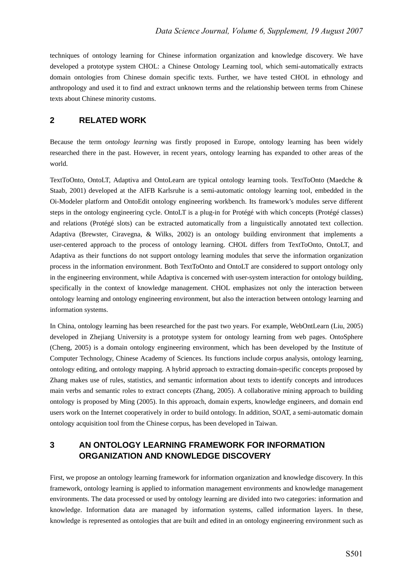techniques of ontology learning for Chinese information organization and knowledge discovery. We have developed a prototype system CHOL: a Chinese Ontology Learning tool, which semi-automatically extracts domain ontologies from Chinese domain specific texts. Further, we have tested CHOL in ethnology and anthropology and used it to find and extract unknown terms and the relationship between terms from Chinese texts about Chinese minority customs.

## **2 RELATED WORK**

Because the term *ontology learning* was firstly proposed in Europe, ontology learning has been widely researched there in the past. However, in recent years, ontology learning has expanded to other areas of the world.

TextToOnto, OntoLT, Adaptiva and OntoLearn are typical ontology learning tools. TextToOnto (Maedche & Staab, 2001) developed at the AIFB Karlsruhe is a semi-automatic ontology learning tool, embedded in the Oi-Modeler platform and OntoEdit ontology engineering workbench. Its framework's modules serve different steps in the ontology engineering cycle. OntoLT is a plug-in for Protégé with which concepts (Protégé classes) and relations (Protégé slots) can be extracted automatically from a linguistically annotated text collection. Adaptiva (Brewster, Ciravegna, & Wilks, 2002) is an ontology building environment that implements a user-centered approach to the process of ontology learning. CHOL differs from TextToOnto, OntoLT, and Adaptiva as their functions do not support ontology learning modules that serve the information organization process in the information environment. Both TextToOnto and OntoLT are considered to support ontology only in the engineering environment, while Adaptiva is concerned with user-system interaction for ontology building, specifically in the context of knowledge management. CHOL emphasizes not only the interaction between ontology learning and ontology engineering environment, but also the interaction between ontology learning and information systems.

In China, ontology learning has been researched for the past two years. For example, WebOntLearn (Liu, 2005) developed in Zhejiang University is a prototype system for ontology learning from web pages. OntoSphere (Cheng, 2005) is a domain ontology engineering environment, which has been developed by the Institute of Computer Technology, Chinese Academy of Sciences. Its functions include corpus analysis, ontology learning, ontology editing, and ontology mapping. A hybrid approach to extracting domain-specific concepts proposed by Zhang makes use of rules, statistics, and semantic information about texts to identify concepts and introduces main verbs and semantic roles to extract concepts (Zhang, 2005). A collaborative mining approach to building ontology is proposed by Ming (2005). In this approach, domain experts, knowledge engineers, and domain end users work on the Internet cooperatively in order to build ontology. In addition, SOAT, a semi-automatic domain ontology acquisition tool from the Chinese corpus, has been developed in Taiwan.

## **3 AN ONTOLOGY LEARNING FRAMEWORK FOR INFORMATION ORGANIZATION AND KNOWLEDGE DISCOVERY**

First, we propose an ontology learning framework for information organization and knowledge discovery. In this framework, ontology learning is applied to information management environments and knowledge management environments. The data processed or used by ontology learning are divided into two categories: information and knowledge. Information data are managed by information systems, called information layers. In these, knowledge is represented as ontologies that are built and edited in an ontology engineering environment such as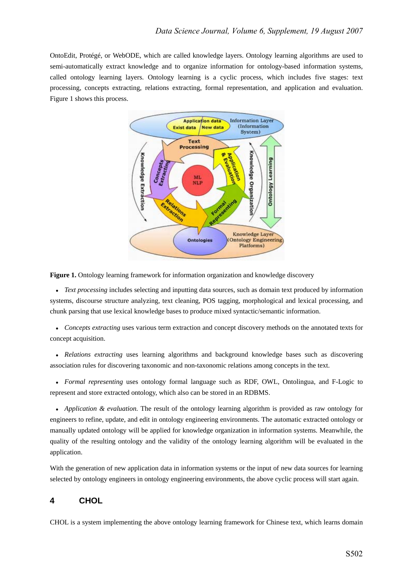OntoEdit, Protégé, or WebODE, which are called knowledge layers. Ontology learning algorithms are used to semi-automatically extract knowledge and to organize information for ontology-based information systems, called ontology learning layers. Ontology learning is a cyclic process, which includes five stages: text processing, concepts extracting, relations extracting, formal representation, and application and evaluation. Figure 1 shows this process.



**Figure 1.** Ontology learning framework for information organization and knowledge discovery

• *Text processing* includes selecting and inputting data sources, such as domain text produced by information systems, discourse structure analyzing, text cleaning, POS tagging, morphological and lexical processing, and chunk parsing that use lexical knowledge bases to produce mixed syntactic/semantic information.

• *Concepts extracting* uses various term extraction and concept discovery methods on the annotated texts for concept acquisition.

• *Relations extracting* uses learning algorithms and background knowledge bases such as discovering association rules for discovering taxonomic and non-taxonomic relations among concepts in the text.

• *Formal representing* uses ontology formal language such as RDF, OWL, Ontolingua, and F-Logic to represent and store extracted ontology, which also can be stored in an RDBMS.

• *Application & evaluation*. The result of the ontology learning algorithm is provided as raw ontology for engineers to refine, update, and edit in ontology engineering environments. The automatic extracted ontology or manually updated ontology will be applied for knowledge organization in information systems. Meanwhile, the quality of the resulting ontology and the validity of the ontology learning algorithm will be evaluated in the application.

With the generation of new application data in information systems or the input of new data sources for learning selected by ontology engineers in ontology engineering environments, the above cyclic process will start again.

### **4 CHOL**

CHOL is a system implementing the above ontology learning framework for Chinese text, which learns domain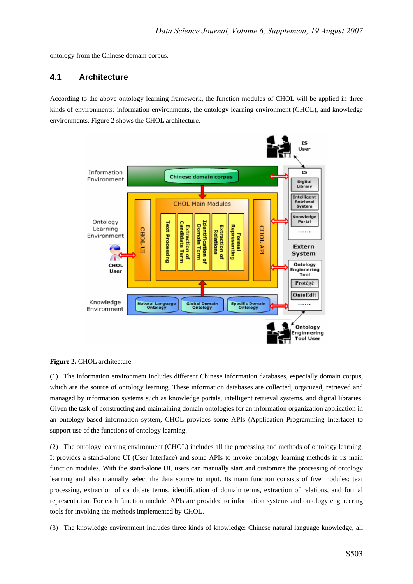ontology from the Chinese domain corpus.

#### **4.1 Architecture**

According to the above ontology learning framework, the function modules of CHOL will be applied in three kinds of environments: information environments, the ontology learning environment (CHOL), and knowledge environments. Figure 2 shows the CHOL architecture.



#### **Figure 2.** CHOL architecture

(1) The information environment includes different Chinese information databases, especially domain corpus, which are the source of ontology learning. These information databases are collected, organized, retrieved and managed by information systems such as knowledge portals, intelligent retrieval systems, and digital libraries. Given the task of constructing and maintaining domain ontologies for an information organization application in an ontology-based information system, CHOL provides some APIs (Application Programming Interface) to support use of the functions of ontology learning.

(2) The ontology learning environment (CHOL) includes all the processing and methods of ontology learning. It provides a stand-alone UI (User Interface) and some APIs to invoke ontology learning methods in its main function modules. With the stand-alone UI, users can manually start and customize the processing of ontology learning and also manually select the data source to input. Its main function consists of five modules: text processing, extraction of candidate terms, identification of domain terms, extraction of relations, and formal representation. For each function module, APIs are provided to information systems and ontology engineering tools for invoking the methods implemented by CHOL.

(3) The knowledge environment includes three kinds of knowledge: Chinese natural language knowledge, all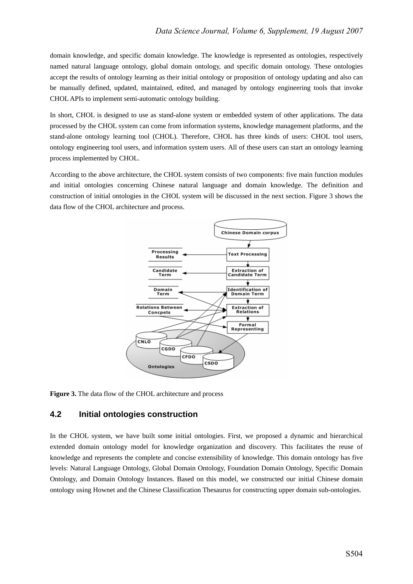domain knowledge, and specific domain knowledge. The knowledge is represented as ontologies, respectively named natural language ontology, global domain ontology, and specific domain ontology. These ontologies accept the results of ontology learning as their initial ontology or proposition of ontology updating and also can be manually defined, updated, maintained, edited, and managed by ontology engineering tools that invoke CHOL APIs to implement semi-automatic ontology building.

In short, CHOL is designed to use as stand-alone system or embedded system of other applications. The data processed by the CHOL system can come from information systems, knowledge management platforms, and the stand-alone ontology learning tool (CHOL). Therefore, CHOL has three kinds of users: CHOL tool users, ontology engineering tool users, and information system users. All of these users can start an ontology learning process implemented by CHOL.

According to the above architecture, the CHOL system consists of two components: five main function modules and initial ontologies concerning Chinese natural language and domain knowledge. The definition and construction of initial ontologies in the CHOL system will be discussed in the next section. Figure 3 shows the data flow of the CHOL architecture and process.



**Figure 3.** The data flow of the CHOL architecture and process

### **4.2 Initial ontologies construction**

In the CHOL system, we have built some initial ontologies. First, we proposed a dynamic and hierarchical extended domain ontology model for knowledge organization and discovery. This facilitates the reuse of knowledge and represents the complete and concise extensibility of knowledge. This domain ontology has five levels: Natural Language Ontology, Global Domain Ontology, Foundation Domain Ontology, Specific Domain Ontology, and Domain Ontology Instances. Based on this model, we constructed our initial Chinese domain ontology using Hownet and the Chinese Classification Thesaurus for constructing upper domain sub-ontologies.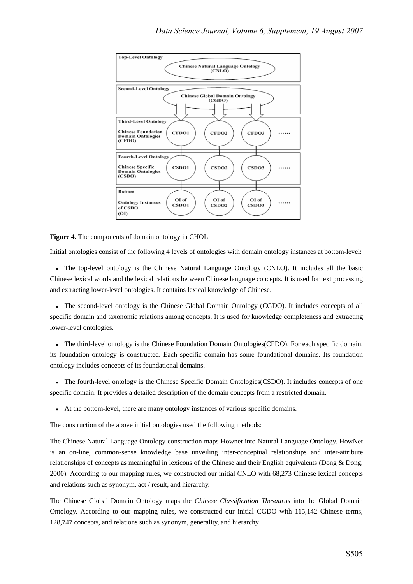

**Figure 4.** The components of domain ontology in CHOL

Initial ontologies consist of the following 4 levels of ontologies with domain ontology instances at bottom-level:

• The top-level ontology is the Chinese Natural Language Ontology (CNLO). It includes all the basic Chinese lexical words and the lexical relations between Chinese language concepts. It is used for text processing and extracting lower-level ontologies. It contains lexical knowledge of Chinese.

• The second-level ontology is the Chinese Global Domain Ontology (CGDO). It includes concepts of all specific domain and taxonomic relations among concepts. It is used for knowledge completeness and extracting lower-level ontologies.

• The third-level ontology is the Chinese Foundation Domain Ontologies(CFDO). For each specific domain, its foundation ontology is constructed. Each specific domain has some foundational domains. Its foundation ontology includes concepts of its foundational domains.

• The fourth-level ontology is the Chinese Specific Domain Ontologies(CSDO). It includes concepts of one specific domain. It provides a detailed description of the domain concepts from a restricted domain.

• At the bottom-level, there are many ontology instances of various specific domains.

The construction of the above initial ontologies used the following methods:

The Chinese Natural Language Ontology construction maps Hownet into Natural Language Ontology. HowNet is an on-line, common-sense knowledge base unveiling inter-conceptual relationships and inter-attribute relationships of concepts as meaningful in lexicons of the Chinese and their English equivalents (Dong & Dong, 2000). According to our mapping rules, we constructed our initial CNLO with 68,273 Chinese lexical concepts and relations such as synonym, act / result, and hierarchy.

The Chinese Global Domain Ontology maps the *Chinese Classification Thesaurus* into the Global Domain Ontology. According to our mapping rules, we constructed our initial CGDO with 115,142 Chinese terms, 128,747 concepts, and relations such as synonym, generality, and hierarchy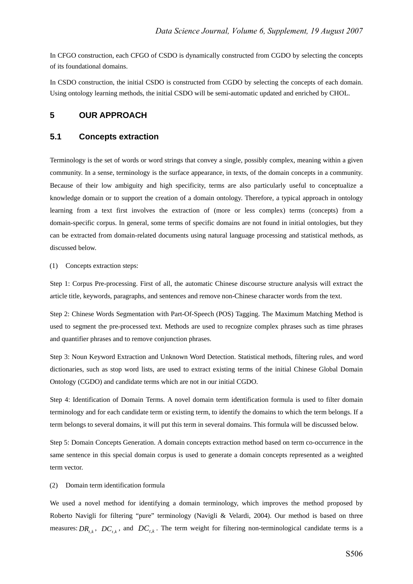In CFGO construction, each CFGO of CSDO is dynamically constructed from CGDO by selecting the concepts of its foundational domains.

In CSDO construction, the initial CSDO is constructed from CGDO by selecting the concepts of each domain. Using ontology learning methods, the initial CSDO will be semi-automatic updated and enriched by CHOL.

#### **5 OUR APPROACH**

#### **5.1 Concepts extraction**

Terminology is the set of words or word strings that convey a single, possibly complex, meaning within a given community. In a sense, terminology is the surface appearance, in texts, of the domain concepts in a community. Because of their low ambiguity and high specificity, terms are also particularly useful to conceptualize a knowledge domain or to support the creation of a domain ontology. Therefore, a typical approach in ontology learning from a text first involves the extraction of (more or less complex) terms (concepts) from a domain-specific corpus. In general, some terms of specific domains are not found in initial ontologies, but they can be extracted from domain-related documents using natural language processing and statistical methods, as discussed below.

#### (1) Concepts extraction steps:

Step 1: Corpus Pre-processing. First of all, the automatic Chinese discourse structure analysis will extract the article title, keywords, paragraphs, and sentences and remove non-Chinese character words from the text.

Step 2: Chinese Words Segmentation with Part-Of-Speech (POS) Tagging. The Maximum Matching Method is used to segment the pre-processed text. Methods are used to recognize complex phrases such as time phrases and quantifier phrases and to remove conjunction phrases.

Step 3: Noun Keyword Extraction and Unknown Word Detection. Statistical methods, filtering rules, and word dictionaries, such as stop word lists, are used to extract existing terms of the initial Chinese Global Domain Ontology (CGDO) and candidate terms which are not in our initial CGDO.

Step 4: Identification of Domain Terms. A novel domain term identification formula is used to filter domain terminology and for each candidate term or existing term, to identify the domains to which the term belongs. If a term belongs to several domains, it will put this term in several domains. This formula will be discussed below.

Step 5: Domain Concepts Generation. A domain concepts extraction method based on term co-occurrence in the same sentence in this special domain corpus is used to generate a domain concepts represented as a weighted term vector.

(2) Domain term identification formula

We used a novel method for identifying a domain terminology, which improves the method proposed by Roberto Navigli for filtering "pure" terminology (Navigli & Velardi, 2004). Our method is based on three measures:  $DR_{i,k}$ ,  $DC_{i,k}$ , and  $DC_{i,k}$ . The term weight for filtering non-terminological candidate terms is a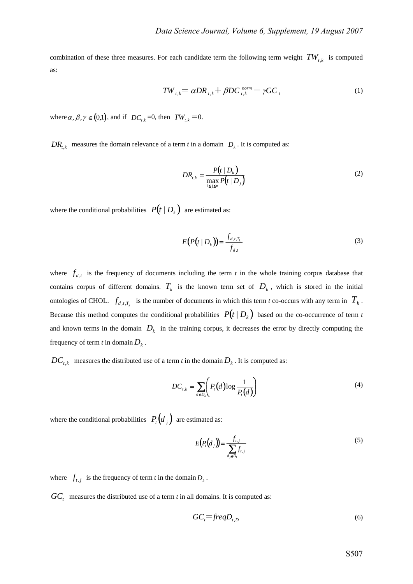combination of these three measures. For each candidate term the following term weight  $TW_{t,k}$  is computed as:

$$
TW_{t,k} = \alpha DR_{t,k} + \beta DC_{t,k}^{norm} - \gamma GC_t
$$
 (1)

where  $\alpha$ ,  $\beta$ ,  $\gamma \in (0,1)$ , and if  $DC_{t,k} = 0$ , then  $TW_{t,k} = 0$ .

 $DR_{t,k}$  measures the domain relevance of a term *t* in a domain  $D_k$ . It is computed as:

$$
DR_{t,k} = \frac{P(t \mid D_k)}{\max_{1 \le j \le n} P(t \mid D_j)}
$$
(2)

where the conditional probabilities  $P(t | D_k)$  are estimated as:

$$
E(P(t | Dk)) = \frac{f_{d,t,T_k}}{f_{d,t}}
$$
\n(3)

where  $f_{d,t}$  is the frequency of documents including the term *t* in the whole training corpus database that contains corpus of different domains.  $T_k$  is the known term set of  $D_k$ , which is stored in the initial ontologies of CHOL.  $f_{d,t,T_k}$  is the number of documents in which this term *t* co-occurs with any term in  $T_k$ . Because this method computes the conditional probabilities  $P(t | D_k)$  based on the co-occurrence of term *t* and known terms in the domain  $D_k$  in the training corpus, it decreases the error by directly computing the frequency of term *t* in domain  $D_k$ .

 $DC_{t,k}$  measures the distributed use of a term *t* in the domain  $D_k$ . It is computed as:

$$
DC_{t,k} = \sum_{d \in D_k} \left( P_t(d) \log \frac{1}{P_t(d)} \right) \tag{4}
$$

where the conditional probabilities  $P_t(d_i)$  are estimated as:

$$
E(P_t(d_j)) = \frac{f_{t,j}}{\sum_{d_j \in D_k} f_{t,j}}
$$
\n
$$
(5)
$$

where  $f_{t, j}$  is the frequency of term *t* in the domain  $D_k$ .

 $GC$ <sub>r</sub> measures the distributed use of a term  $t$  in all domains. It is computed as:

$$
GCt=freqDt,D
$$
 (6)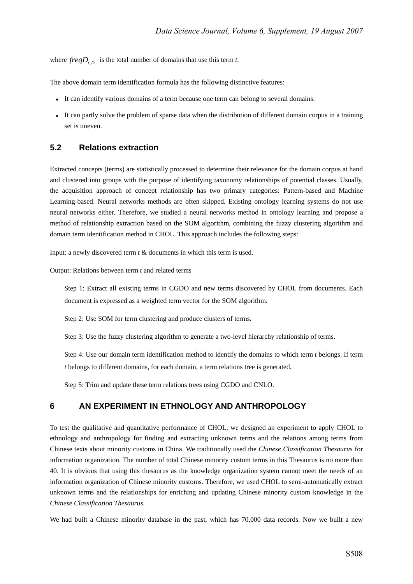where  $freqD_{t,p}$  is the total number of domains that use this term *t*.

The above domain term identification formula has the following distinctive features:

- It can identify various domains of a term because one term can belong to several domains.
- It can partly solve the problem of sparse data when the distribution of different domain corpus in a training set is uneven.

### **5.2 Relations extraction**

Extracted concepts (terms) are statistically processed to determine their relevance for the domain corpus at hand and clustered into groups with the purpose of identifying taxonomy relationships of potential classes. Usually, the acquisition approach of concept relationship has two primary categories: Pattern-based and Machine Learning-based. Neural networks methods are often skipped. Existing ontology learning systems do not use neural networks either. Therefore, we studied a neural networks method in ontology learning and propose a method of relationship extraction based on the SOM algorithm, combining the fuzzy clustering algorithm and domain term identification method in CHOL. This approach includes the following steps:

Input: a newly discovered term *t* & documents in which this term is used.

Output: Relations between term *t* and related terms

Step 1: Extract all existing terms in CGDO and new terms discovered by CHOL from documents. Each document is expressed as a weighted term vector for the SOM algorithm.

Step 2: Use SOM for term clustering and produce clusters of terms.

Step 3: Use the fuzzy clustering algorithm to generate a two-level hierarchy relationship of terms.

Step 4: Use our domain term identification method to identify the domains to which term *t* belongs. If term *t* belongs to different domains, for each domain, a term relations tree is generated.

Step 5: Trim and update these term relations trees using CGDO and CNLO.

## **6 AN EXPERIMENT IN ETHNOLOGY AND ANTHROPOLOGY**

To test the qualitative and quantitative performance of CHOL, we designed an experiment to apply CHOL to ethnology and anthropology for finding and extracting unknown terms and the relations among terms from Chinese texts about minority customs in China. We traditionally used the *Chinese Classification Thesaurus* for information organization. The number of total Chinese minority custom terms in this Thesaurus is no more than 40. It is obvious that using this thesaurus as the knowledge organization system cannot meet the needs of an information organization of Chinese minority customs. Therefore, we used CHOL to semi-automatically extract unknown terms and the relationships for enriching and updating Chinese minority custom knowledge in the *Chinese Classification Thesaurus*.

We had built a Chinese minority database in the past, which has 70,000 data records. Now we built a new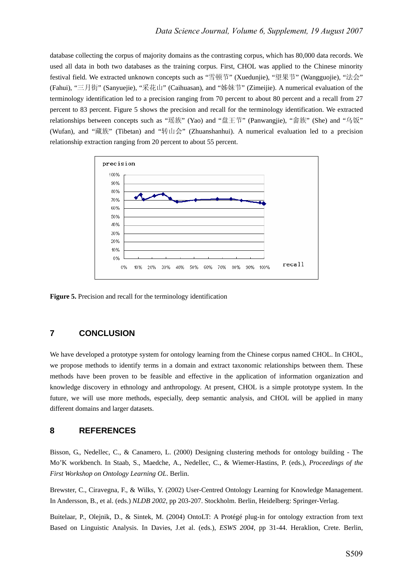database collecting the corpus of majority domains as the contrasting corpus, which has 80,000 data records. We used all data in both two databases as the training corpus. First, CHOL was applied to the Chinese minority festival field. We extracted unknown concepts such as "雪顿节" (Xuedunjie), "望果节" (Wangguojie), "法会" (Fahui), "三月街" (Sanyuejie), "采花山" (Caihuasan), and "姊妹节" (Zimeijie). A numerical evaluation of the terminology identification led to a precision ranging from 70 percent to about 80 percent and a recall from 27 percent to 83 percent. Figure 5 shows the precision and recall for the terminology identification. We extracted relationships between concepts such as "瑶族" (Yao) and "盘王节" (Panwangjie), "畲族" (She) and "乌饭" (Wufan), and "藏族" (Tibetan) and "转山会" (Zhuanshanhui). A numerical evaluation led to a precision relationship extraction ranging from 20 percent to about 55 percent.



**Figure 5.** Precision and recall for the terminology identification

## **7 CONCLUSION**

We have developed a prototype system for ontology learning from the Chinese corpus named CHOL. In CHOL, we propose methods to identify terms in a domain and extract taxonomic relationships between them. These methods have been proven to be feasible and effective in the application of information organization and knowledge discovery in ethnology and anthropology. At present, CHOL is a simple prototype system. In the future, we will use more methods, especially, deep semantic analysis, and CHOL will be applied in many different domains and larger datasets.

#### **8 REFERENCES**

Bisson, G., Nedellec, C., & Canamero, L. (2000) Designing clustering methods for ontology building - The Mo'K workbench. In Staab, S., Maedche, A., Nedellec, C., & Wiemer-Hastins, P. (eds.), *Proceedings of the First Workshop on Ontology Learning OL*. Berlin.

Brewster, C., Ciravegna, F., & Wilks, Y. (2002) User-Centred Ontology Learning for Knowledge Management. In Andersson, B., et al. (eds.) *NLDB 2002*, pp 203-207. Stockholm. Berlin, Heidelberg: Springer-Verlag.

Buitelaar, P., Olejnik, D., & Sintek, M. (2004) OntoLT: A Protégé plug-in for ontology extraction from text Based on Linguistic Analysis. In Davies, J.et al. (eds.), *ESWS 2004,* pp 31-44. Heraklion, Crete. Berlin,